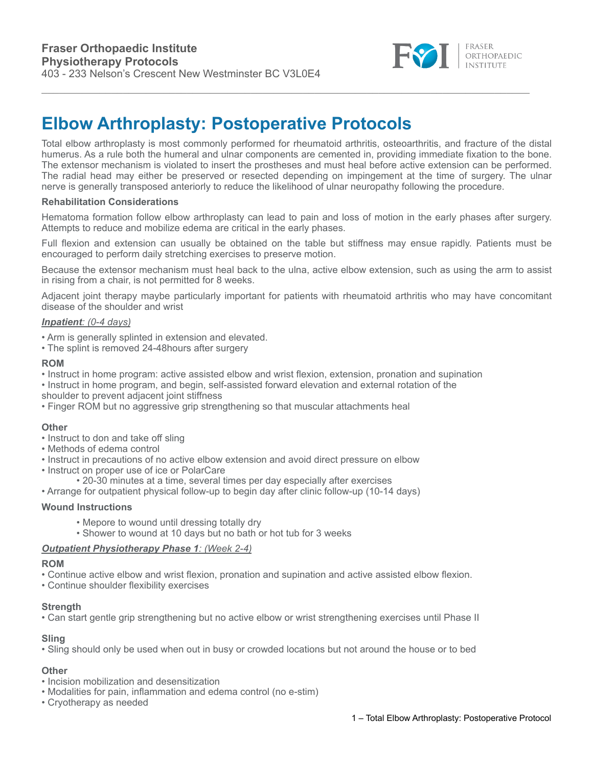

# **Elbow Arthroplasty: Postoperative Protocols**

Total elbow arthroplasty is most commonly performed for rheumatoid arthritis, osteoarthritis, and fracture of the distal humerus. As a rule both the humeral and ulnar components are cemented in, providing immediate fixation to the bone. The extensor mechanism is violated to insert the prostheses and must heal before active extension can be performed. The radial head may either be preserved or resected depending on impingement at the time of surgery. The ulnar nerve is generally transposed anteriorly to reduce the likelihood of ulnar neuropathy following the procedure.

# **Rehabilitation Considerations**

Hematoma formation follow elbow arthroplasty can lead to pain and loss of motion in the early phases after surgery. Attempts to reduce and mobilize edema are critical in the early phases.

Full flexion and extension can usually be obtained on the table but stiffness may ensue rapidly. Patients must be encouraged to perform daily stretching exercises to preserve motion.

Because the extensor mechanism must heal back to the ulna, active elbow extension, such as using the arm to assist in rising from a chair, is not permitted for 8 weeks.

Adjacent joint therapy maybe particularly important for patients with rheumatoid arthritis who may have concomitant disease of the shoulder and wrist

## *Inpatient: (0-4 days)*

• Arm is generally splinted in extension and elevated.

• The splint is removed 24-48hours after surgery

## **ROM**

- Instruct in home program: active assisted elbow and wrist flexion, extension, pronation and supination
- Instruct in home program, and begin, self-assisted forward elevation and external rotation of the
- shoulder to prevent adjacent joint stiffness
- Finger ROM but no aggressive grip strengthening so that muscular attachments heal

## **Other**

- Instruct to don and take off sling
- Methods of edema control
- Instruct in precautions of no active elbow extension and avoid direct pressure on elbow
- Instruct on proper use of ice or PolarCare
	- 20-30 minutes at a time, several times per day especially after exercises
- Arrange for outpatient physical follow-up to begin day after clinic follow-up (10-14 days)

# **Wound Instructions**

- Mepore to wound until dressing totally dry
- Shower to wound at 10 days but no bath or hot tub for 3 weeks

## *Outpatient Physiotherapy Phase 1: (Week 2-4)*

#### **ROM**

- Continue active elbow and wrist flexion, pronation and supination and active assisted elbow flexion.
- Continue shoulder flexibility exercises

## **Strength**

• Can start gentle grip strengthening but no active elbow or wrist strengthening exercises until Phase II

# **Sling**

• Sling should only be used when out in busy or crowded locations but not around the house or to bed

## **Other**

- Incision mobilization and desensitization
- Modalities for pain, inflammation and edema control (no e-stim)
- Cryotherapy as needed